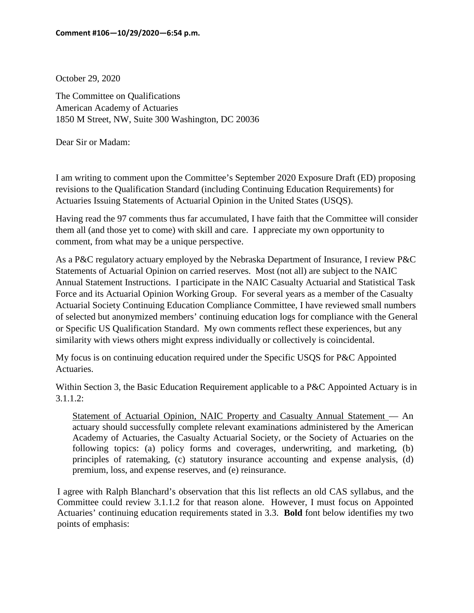October 29, 2020

The Committee on Qualifications American Academy of Actuaries 1850 M Street, NW, Suite 300 Washington, DC 20036

Dear Sir or Madam:

I am writing to comment upon the Committee's September 2020 Exposure Draft (ED) proposing revisions to the Qualification Standard (including Continuing Education Requirements) for Actuaries Issuing Statements of Actuarial Opinion in the United States (USQS).

Having read the 97 comments thus far accumulated, I have faith that the Committee will consider them all (and those yet to come) with skill and care. I appreciate my own opportunity to comment, from what may be a unique perspective.

As a P&C regulatory actuary employed by the Nebraska Department of Insurance, I review P&C Statements of Actuarial Opinion on carried reserves. Most (not all) are subject to the NAIC Annual Statement Instructions. I participate in the NAIC Casualty Actuarial and Statistical Task Force and its Actuarial Opinion Working Group. For several years as a member of the Casualty Actuarial Society Continuing Education Compliance Committee, I have reviewed small numbers of selected but anonymized members' continuing education logs for compliance with the General or Specific US Qualification Standard. My own comments reflect these experiences, but any similarity with views others might express individually or collectively is coincidental.

My focus is on continuing education required under the Specific USQS for P&C Appointed Actuaries.

Within Section 3, the Basic Education Requirement applicable to a P&C Appointed Actuary is in 3.1.1.2:

Statement of Actuarial Opinion, NAIC Property and Casualty Annual Statement — An actuary should successfully complete relevant examinations administered by the American Academy of Actuaries, the Casualty Actuarial Society, or the Society of Actuaries on the following topics: (a) policy forms and coverages, underwriting, and marketing, (b) principles of ratemaking, (c) statutory insurance accounting and expense analysis, (d) premium, loss, and expense reserves, and (e) reinsurance.

I agree with Ralph Blanchard's observation that this list reflects an old CAS syllabus, and the Committee could review 3.1.1.2 for that reason alone. However, I must focus on Appointed Actuaries' continuing education requirements stated in 3.3. **Bold** font below identifies my two points of emphasis: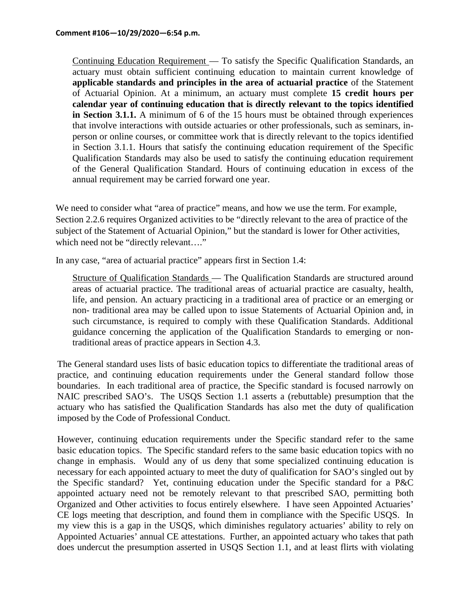Continuing Education Requirement — To satisfy the Specific Qualification Standards, an actuary must obtain sufficient continuing education to maintain current knowledge of **applicable standards and principles in the area of actuarial practice** of the Statement of Actuarial Opinion. At a minimum, an actuary must complete **15 credit hours per calendar year of continuing education that is directly relevant to the topics identified in Section 3.1.1.** A minimum of 6 of the 15 hours must be obtained through experiences that involve interactions with outside actuaries or other professionals, such as seminars, inperson or online courses, or committee work that is directly relevant to the topics identified in Section 3.1.1. Hours that satisfy the continuing education requirement of the Specific Qualification Standards may also be used to satisfy the continuing education requirement of the General Qualification Standard. Hours of continuing education in excess of the annual requirement may be carried forward one year.

We need to consider what "area of practice" means, and how we use the term. For example, Section 2.2.6 requires Organized activities to be "directly relevant to the area of practice of the subject of the Statement of Actuarial Opinion," but the standard is lower for Other activities, which need not be "directly relevant...."

In any case, "area of actuarial practice" appears first in Section 1.4:

Structure of Qualification Standards — The Qualification Standards are structured around areas of actuarial practice. The traditional areas of actuarial practice are casualty, health, life, and pension. An actuary practicing in a traditional area of practice or an emerging or non- traditional area may be called upon to issue Statements of Actuarial Opinion and, in such circumstance, is required to comply with these Qualification Standards. Additional guidance concerning the application of the Qualification Standards to emerging or nontraditional areas of practice appears in Section 4.3.

The General standard uses lists of basic education topics to differentiate the traditional areas of practice, and continuing education requirements under the General standard follow those boundaries. In each traditional area of practice, the Specific standard is focused narrowly on NAIC prescribed SAO's. The USQS Section 1.1 asserts a (rebuttable) presumption that the actuary who has satisfied the Qualification Standards has also met the duty of qualification imposed by the Code of Professional Conduct.

However, continuing education requirements under the Specific standard refer to the same basic education topics. The Specific standard refers to the same basic education topics with no change in emphasis. Would any of us deny that some specialized continuing education is necessary for each appointed actuary to meet the duty of qualification for SAO's singled out by the Specific standard? Yet, continuing education under the Specific standard for a P&C appointed actuary need not be remotely relevant to that prescribed SAO, permitting both Organized and Other activities to focus entirely elsewhere. I have seen Appointed Actuaries' CE logs meeting that description, and found them in compliance with the Specific USQS. In my view this is a gap in the USQS, which diminishes regulatory actuaries' ability to rely on Appointed Actuaries' annual CE attestations. Further, an appointed actuary who takes that path does undercut the presumption asserted in USQS Section 1.1, and at least flirts with violating